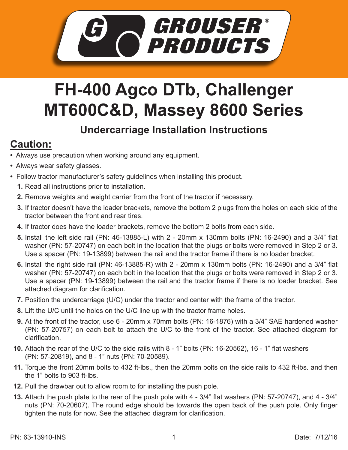

## **FH-400 Agco DTb, Challenger MT600C&D, Massey 8600 Series**

## **Undercarriage Installation Instructions**

## **Caution:**

- Always use precaution when working around any equipment.
- Always wear safety glasses.
- Follow tractor manufacturer's safety guidelines when installing this product.
	- **1.** Read all instructions prior to installation.
	- **2.** Remove weights and weight carrier from the front of the tractor if necessary.
	- If tractor doesn't have the loader brackets, remove the bottom 2 plugs from the holes on each side of the **3.** tractor between the front and rear tires.
	- **4.** If tractor does have the loader brackets, remove the bottom 2 bolts from each side.
	- Install the left side rail (PN: 46-13885-L) with 2 20mm x 130mm bolts (PN: 16-2490) and a 3/4" flat **5.** washer (PN: 57-20747) on each bolt in the location that the plugs or bolts were removed in Step 2 or 3. Use a spacer (PN: 19-13899) between the rail and the tractor frame if there is no loader bracket.
	- Install the right side rail (PN: 46-13885-R) with 2 20mm x 130mm bolts (PN: 16-2490) and a 3/4" flat **6.** washer (PN: 57-20747) on each bolt in the location that the plugs or bolts were removed in Step 2 or 3. Use a spacer (PN: 19-13899) between the rail and the tractor frame if there is no loader bracket. See attached diagram for clarification.
	- **7.** Position the undercarriage (U/C) under the tractor and center with the frame of the tractor.
	- Lift the U/C until the holes on the U/C line up with the tractor frame holes. **8.**
	- At the front of the tractor, use 6 20mm x 70mm bolts (PN: 16-1876) with a 3/4" SAE hardened washer **9.** (PN: 57-20757) on each bolt to attach the U/C to the front of the tractor. See attached diagram for clarification.
	- **10.** Attach the rear of the U/C to the side rails with 8 1" bolts (PN: 16-20562), 16 1" flat washers (PN: 57-20819), and 8 - 1" nuts (PN: 70-20589).
	- **11.** Torque the front 20mm bolts to 432 ft-lbs., then the 20mm bolts on the side rails to 432 ft-lbs. and then the 1" bolts to 903 ft-lbs.
	- **12.** Pull the drawbar out to allow room to for installing the push pole.
	- **13.** Attach the push plate to the rear of the push pole with 4 3/4" flat washers (PN: 57-20747), and 4 3/4" nuts (PN: 70-20607). The round edge should be towards the open back of the push pole. Only finger tighten the nuts for now. See the attached diagram for clarification.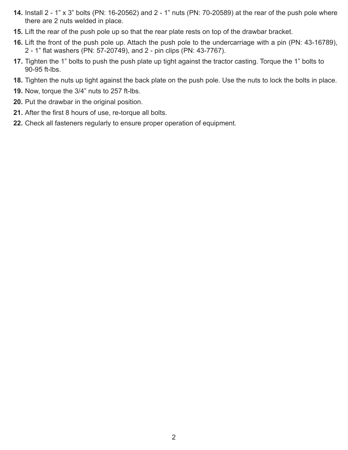- Install 2 1" x 3" bolts (PN: 16-20562) and 2 1" nuts (PN: 70-20589) at the rear of the push pole where **14.** there are 2 nuts welded in place.
- **15.** Lift the rear of the push pole up so that the rear plate rests on top of the drawbar bracket.
- **16.** Lift the front of the push pole up. Attach the push pole to the undercarriage with a pin (PN: 43-16789), 2 - 1" flat washers (PN: 57-20749), and 2 - pin clips (PN: 43-7767).
- **17.** Tighten the 1" bolts to push the push plate up tight against the tractor casting. Torque the 1" bolts to 90-95 ft-lbs.
- 18. Tighten the nuts up tight against the back plate on the push pole. Use the nuts to lock the bolts in place.
- **19.** Now, torque the 3/4" nuts to 257 ft-lbs.
- **20.** Put the drawbar in the original position.
- **21.** After the first 8 hours of use, re-torque all bolts.
- 22. Check all fasteners regularly to ensure proper operation of equipment.